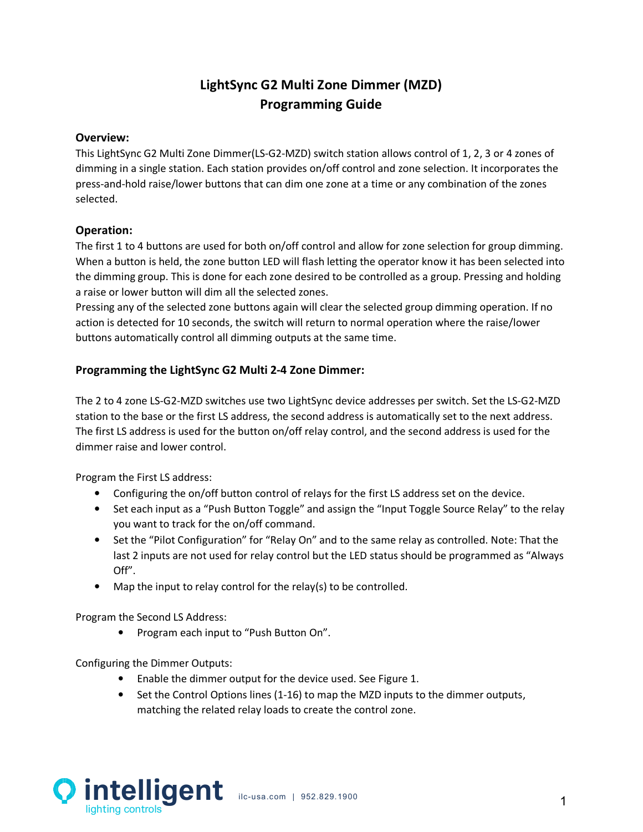# **LightSync G2 Multi Zone Dimmer (MZD) Programming Guide**

#### **Overview:**

This LightSync G2 Multi Zone Dimmer(LS-G2-MZD) switch station allows control of 1, 2, 3 or 4 zones of dimming in a single station. Each station provides on/off control and zone selection. It incorporates the press-and-hold raise/lower buttons that can dim one zone at a time or any combination of the zones selected.

### **Operation:**

The first 1 to 4 buttons are used for both on/off control and allow for zone selection for group dimming. When a button is held, the zone button LED will flash letting the operator know it has been selected into the dimming group. This is done for each zone desired to be controlled as a group. Pressing and holding a raise or lower button will dim all the selected zones.

Pressing any of the selected zone buttons again will clear the selected group dimming operation. If no action is detected for 10 seconds, the switch will return to normal operation where the raise/lower buttons automatically control all dimming outputs at the same time.

### **Programming the LightSync G2 Multi 2-4 Zone Dimmer:**

The 2 to 4 zone LS-G2-MZD switches use two LightSync device addresses per switch. Set the LS-G2-MZD station to the base or the first LS address, the second address is automatically set to the next address. The first LS address is used for the button on/off relay control, and the second address is used for the dimmer raise and lower control.

Program the First LS address:

- Configuring the on/off button control of relays for the first LS address set on the device.
- Set each input as a "Push Button Toggle" and assign the "Input Toggle Source Relay" to the relay you want to track for the on/off command.
- Set the "Pilot Configuration" for "Relay On" and to the same relay as controlled. Note: That the last 2 inputs are not used for relay control but the LED status should be programmed as "Always Off".
- Map the input to relay control for the relay(s) to be controlled.

Program the Second LS Address:

• Program each input to "Push Button On".

Configuring the Dimmer Outputs:

- Enable the dimmer output for the device used. See Figure 1.
- Set the Control Options lines (1-16) to map the MZD inputs to the dimmer outputs, matching the related relay loads to create the control zone.